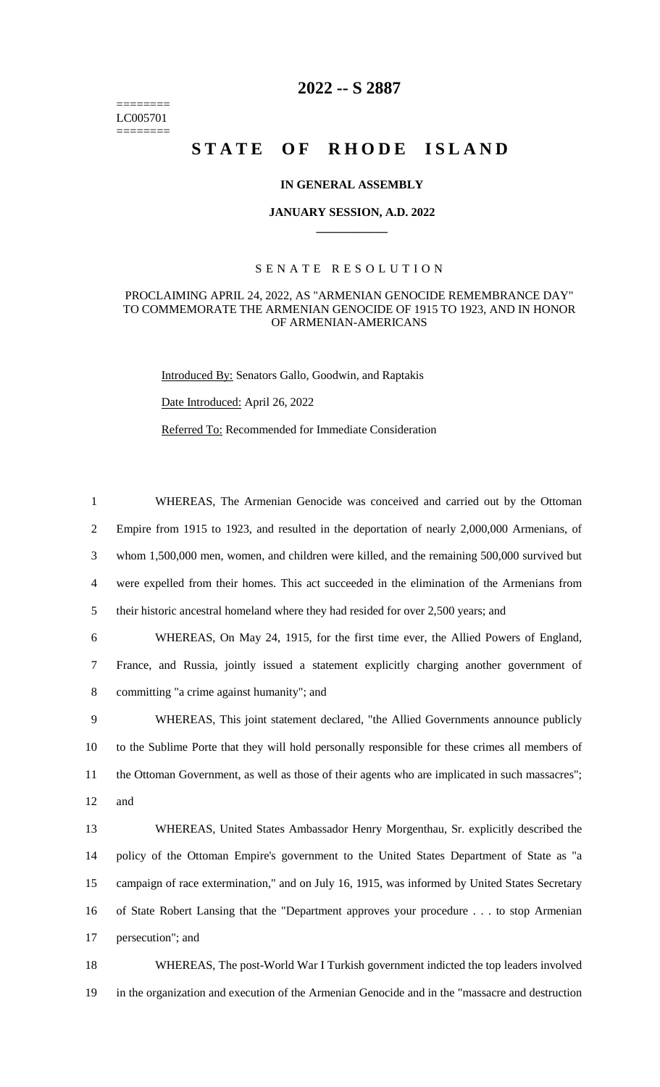======== LC005701 ========

# **2022 -- S 2887**

# STATE OF RHODE ISLAND

## **IN GENERAL ASSEMBLY**

#### **JANUARY SESSION, A.D. 2022 \_\_\_\_\_\_\_\_\_\_\_\_**

## S E N A T E R E S O L U T I O N

#### PROCLAIMING APRIL 24, 2022, AS "ARMENIAN GENOCIDE REMEMBRANCE DAY" TO COMMEMORATE THE ARMENIAN GENOCIDE OF 1915 TO 1923, AND IN HONOR OF ARMENIAN-AMERICANS

Introduced By: Senators Gallo, Goodwin, and Raptakis

Date Introduced: April 26, 2022

Referred To: Recommended for Immediate Consideration

 WHEREAS, The Armenian Genocide was conceived and carried out by the Ottoman Empire from 1915 to 1923, and resulted in the deportation of nearly 2,000,000 Armenians, of whom 1,500,000 men, women, and children were killed, and the remaining 500,000 survived but were expelled from their homes. This act succeeded in the elimination of the Armenians from their historic ancestral homeland where they had resided for over 2,500 years; and WHEREAS, On May 24, 1915, for the first time ever, the Allied Powers of England, France, and Russia, jointly issued a statement explicitly charging another government of committing "a crime against humanity"; and WHEREAS, This joint statement declared, "the Allied Governments announce publicly to the Sublime Porte that they will hold personally responsible for these crimes all members of 11 the Ottoman Government, as well as those of their agents who are implicated in such massacres"; 12 and WHEREAS, United States Ambassador Henry Morgenthau, Sr. explicitly described the policy of the Ottoman Empire's government to the United States Department of State as "a campaign of race extermination," and on July 16, 1915, was informed by United States Secretary of State Robert Lansing that the "Department approves your procedure . . . to stop Armenian persecution"; and WHEREAS, The post-World War I Turkish government indicted the top leaders involved

19 in the organization and execution of the Armenian Genocide and in the "massacre and destruction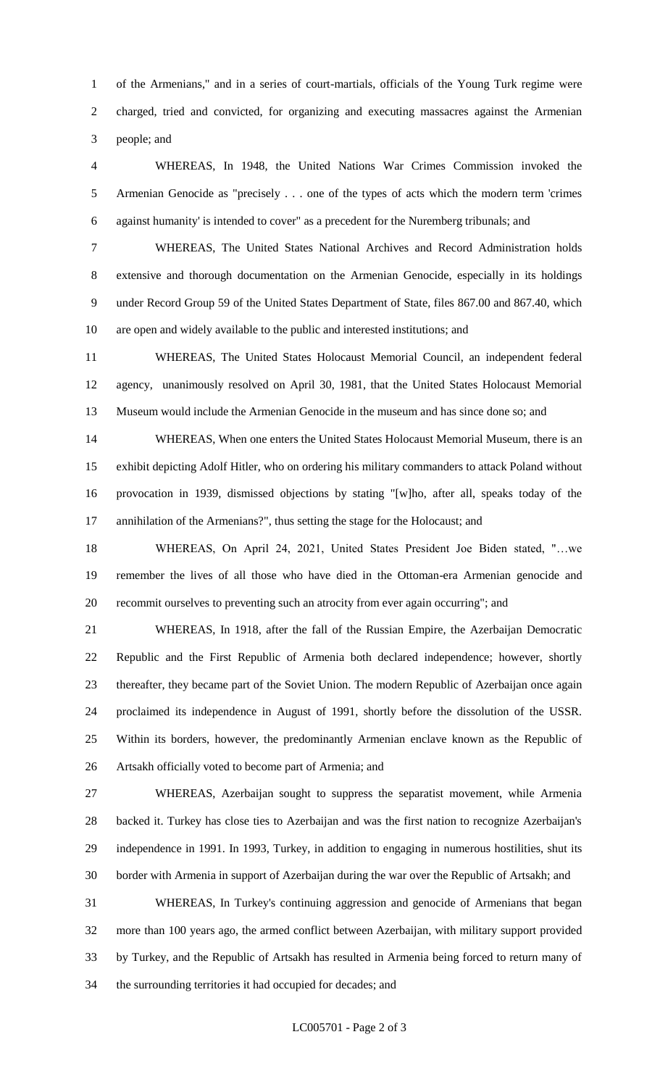of the Armenians," and in a series of court-martials, officials of the Young Turk regime were charged, tried and convicted, for organizing and executing massacres against the Armenian people; and

 WHEREAS, In 1948, the United Nations War Crimes Commission invoked the Armenian Genocide as "precisely . . . one of the types of acts which the modern term 'crimes against humanity' is intended to cover" as a precedent for the Nuremberg tribunals; and

 WHEREAS, The United States National Archives and Record Administration holds extensive and thorough documentation on the Armenian Genocide, especially in its holdings under Record Group 59 of the United States Department of State, files 867.00 and 867.40, which are open and widely available to the public and interested institutions; and

 WHEREAS, The United States Holocaust Memorial Council, an independent federal agency, unanimously resolved on April 30, 1981, that the United States Holocaust Memorial Museum would include the Armenian Genocide in the museum and has since done so; and

 WHEREAS, When one enters the United States Holocaust Memorial Museum, there is an exhibit depicting Adolf Hitler, who on ordering his military commanders to attack Poland without provocation in 1939, dismissed objections by stating "[w]ho, after all, speaks today of the annihilation of the Armenians?", thus setting the stage for the Holocaust; and

 WHEREAS, On April 24, 2021, United States President Joe Biden stated, "…we remember the lives of all those who have died in the Ottoman-era Armenian genocide and recommit ourselves to preventing such an atrocity from ever again occurring"; and

 WHEREAS, In 1918, after the fall of the Russian Empire, the Azerbaijan Democratic Republic and the First Republic of Armenia both declared independence; however, shortly thereafter, they became part of the Soviet Union. The modern Republic of Azerbaijan once again proclaimed its independence in August of 1991, shortly before the dissolution of the USSR. Within its borders, however, the predominantly Armenian enclave known as the Republic of Artsakh officially voted to become part of Armenia; and

 WHEREAS, Azerbaijan sought to suppress the separatist movement, while Armenia backed it. Turkey has close ties to Azerbaijan and was the first nation to recognize Azerbaijan's independence in 1991. In 1993, Turkey, in addition to engaging in numerous hostilities, shut its border with Armenia in support of Azerbaijan during the war over the Republic of Artsakh; and

 WHEREAS, In Turkey's continuing aggression and genocide of Armenians that began more than 100 years ago, the armed conflict between Azerbaijan, with military support provided by Turkey, and the Republic of Artsakh has resulted in Armenia being forced to return many of the surrounding territories it had occupied for decades; and